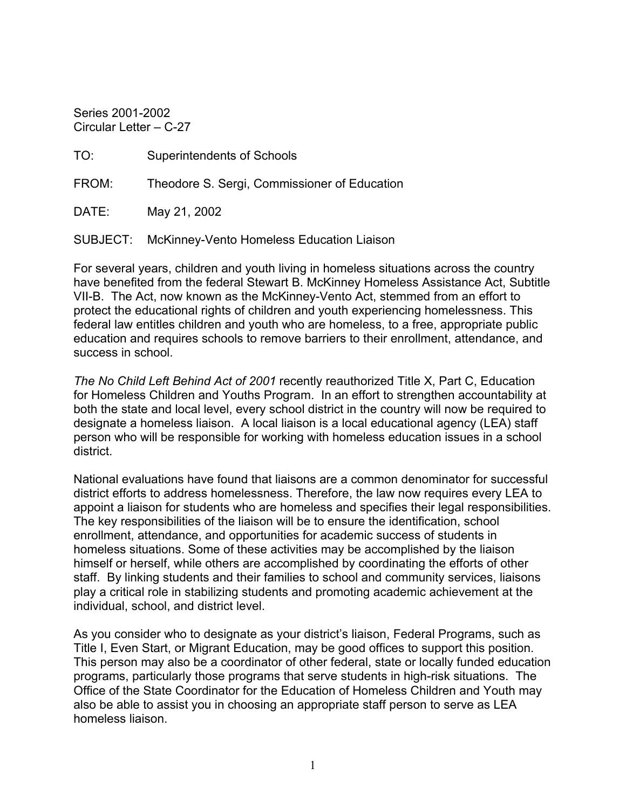Series 2001-2002 Circular Letter – C-27

TO: Superintendents of Schools

FROM: Theodore S. Sergi, Commissioner of Education

DATE: May 21, 2002

SUBJECT: McKinney-Vento Homeless Education Liaison

For several years, children and youth living in homeless situations across the country have benefited from the federal Stewart B. McKinney Homeless Assistance Act, Subtitle VII-B. The Act, now known as the McKinney-Vento Act, stemmed from an effort to protect the educational rights of children and youth experiencing homelessness. This federal law entitles children and youth who are homeless, to a free, appropriate public education and requires schools to remove barriers to their enrollment, attendance, and success in school.

*The No Child Left Behind Act of 2001* recently reauthorized Title X, Part C, Education for Homeless Children and Youths Program. In an effort to strengthen accountability at both the state and local level, every school district in the country will now be required to designate a homeless liaison. A local liaison is a local educational agency (LEA) staff person who will be responsible for working with homeless education issues in a school district.

National evaluations have found that liaisons are a common denominator for successful district efforts to address homelessness. Therefore, the law now requires every LEA to appoint a liaison for students who are homeless and specifies their legal responsibilities. The key responsibilities of the liaison will be to ensure the identification, school enrollment, attendance, and opportunities for academic success of students in homeless situations. Some of these activities may be accomplished by the liaison himself or herself, while others are accomplished by coordinating the efforts of other staff. By linking students and their families to school and community services, liaisons play a critical role in stabilizing students and promoting academic achievement at the individual, school, and district level.

As you consider who to designate as your district's liaison, Federal Programs, such as Title I, Even Start, or Migrant Education, may be good offices to support this position. This person may also be a coordinator of other federal, state or locally funded education programs, particularly those programs that serve students in high-risk situations. The Office of the State Coordinator for the Education of Homeless Children and Youth may also be able to assist you in choosing an appropriate staff person to serve as LEA homeless liaison.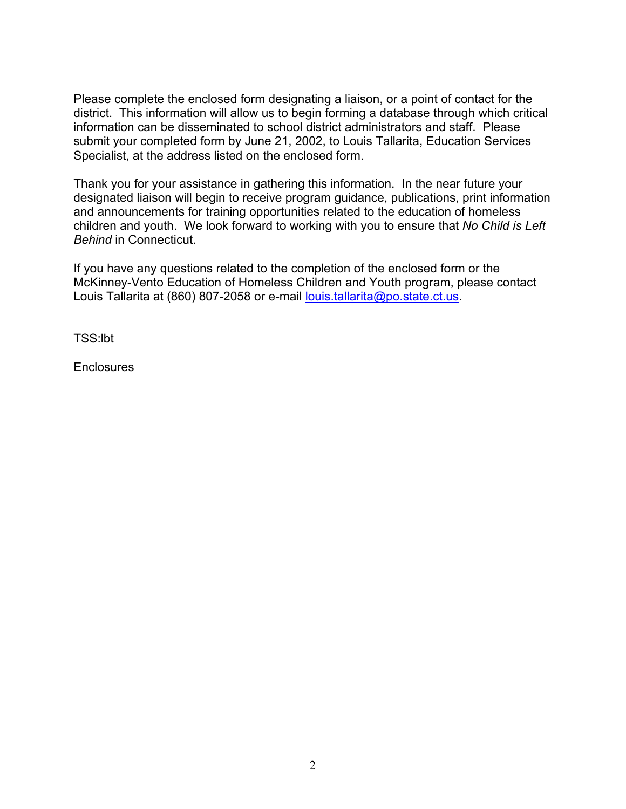Please complete the enclosed form designating a liaison, or a point of contact for the district. This information will allow us to begin forming a database through which critical information can be disseminated to school district administrators and staff. Please submit your completed form by June 21, 2002, to Louis Tallarita, Education Services Specialist, at the address listed on the enclosed form.

Thank you for your assistance in gathering this information. In the near future your designated liaison will begin to receive program guidance, publications, print information and announcements for training opportunities related to the education of homeless children and youth. We look forward to working with you to ensure that *No Child is Left Behind* in Connecticut.

If you have any questions related to the completion of the enclosed form or the McKinney-Vento Education of Homeless Children and Youth program, please contact Louis Tallarita at (860) 807-2058 or e-mail [louis.tallarita@po.state.ct.us.](mailto:louis.tallarita@po.state.ct.us)

TSS:lbt

**Enclosures**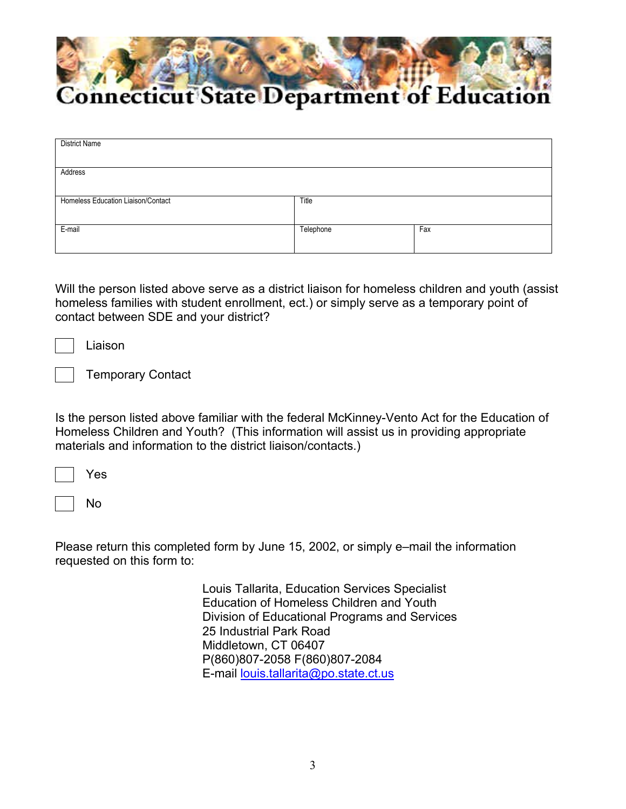

| <b>District Name</b>               |           |     |
|------------------------------------|-----------|-----|
|                                    |           |     |
| Address                            |           |     |
|                                    |           |     |
| Homeless Education Liaison/Contact | Title     |     |
|                                    |           |     |
| E-mail                             | Telephone | Fax |
|                                    |           |     |

Will the person listed above serve as a district liaison for homeless children and youth (assist homeless families with student enrollment, ect.) or simply serve as a temporary point of contact between SDE and your district?

Liaison

Temporary Contact

Is the person listed above familiar with the federal McKinney-Vento Act for the Education of Homeless Children and Youth? (This information will assist us in providing appropriate materials and information to the district liaison/contacts.)

No

Please return this completed form by June 15, 2002, or simply e–mail the information requested on this form to:

> Louis Tallarita, Education Services Specialist Education of Homeless Children and Youth Division of Educational Programs and Services 25 Industrial Park Road Middletown, CT 06407 P(860)807-2058 F(860)807-2084 E-mail louis.tallarita@po.state.ct.us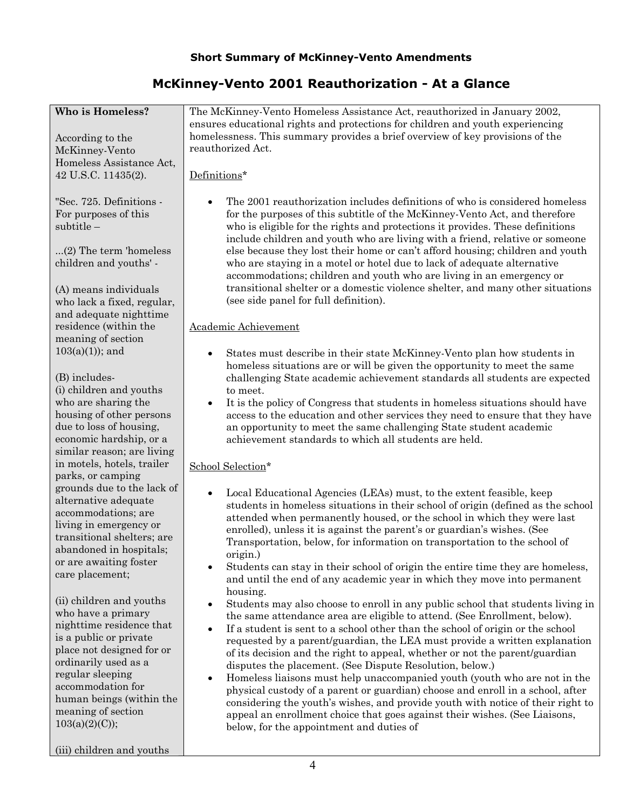# **Short Summary of McKinney-Vento Amendments**

# **McKinney-Vento 2001 Reauthorization - At a Glance**

| Who is Homeless?                                     | The McKinney-Vento Homeless Assistance Act, reauthorized in January 2002,<br>ensures educational rights and protections for children and youth experiencing   |
|------------------------------------------------------|---------------------------------------------------------------------------------------------------------------------------------------------------------------|
| According to the                                     | homelessness. This summary provides a brief overview of key provisions of the                                                                                 |
| McKinney-Vento                                       | reauthorized Act.                                                                                                                                             |
| Homeless Assistance Act,                             |                                                                                                                                                               |
| 42 U.S.C. 11435(2).                                  | Definitions*                                                                                                                                                  |
|                                                      |                                                                                                                                                               |
| "Sec. 725. Definitions -                             | The 2001 reauthorization includes definitions of who is considered homeless                                                                                   |
| For purposes of this                                 | for the purposes of this subtitle of the McKinney-Vento Act, and therefore                                                                                    |
| $subtitle -$                                         | who is eligible for the rights and protections it provides. These definitions<br>include children and youth who are living with a friend, relative or someone |
| $(2)$ The term 'homeless                             | else because they lost their home or can't afford housing; children and youth                                                                                 |
| children and youths' -                               | who are staying in a motel or hotel due to lack of adequate alternative                                                                                       |
|                                                      | accommodations; children and youth who are living in an emergency or                                                                                          |
| (A) means individuals                                | transitional shelter or a domestic violence shelter, and many other situations                                                                                |
| who lack a fixed, regular,                           | (see side panel for full definition).                                                                                                                         |
| and adequate nighttime                               |                                                                                                                                                               |
| residence (within the                                | Academic Achievement                                                                                                                                          |
| meaning of section                                   |                                                                                                                                                               |
| $103(a)(1)$ ; and                                    | States must describe in their state McKinney-Vento plan how students in                                                                                       |
|                                                      | homeless situations are or will be given the opportunity to meet the same                                                                                     |
| (B) includes-                                        | challenging State academic achievement standards all students are expected                                                                                    |
| (i) children and youths                              | to meet.                                                                                                                                                      |
| who are sharing the                                  | It is the policy of Congress that students in homeless situations should have                                                                                 |
| housing of other persons                             | access to the education and other services they need to ensure that they have                                                                                 |
| due to loss of housing,                              | an opportunity to meet the same challenging State student academic                                                                                            |
| economic hardship, or a                              | achievement standards to which all students are held.                                                                                                         |
| similar reason; are living                           |                                                                                                                                                               |
| in motels, hotels, trailer                           | School Selection*                                                                                                                                             |
| parks, or camping                                    |                                                                                                                                                               |
| grounds due to the lack of                           | Local Educational Agencies (LEAs) must, to the extent feasible, keep<br>$\bullet$                                                                             |
| alternative adequate                                 | students in homeless situations in their school of origin (defined as the school                                                                              |
| accommodations; are                                  | attended when permanently housed, or the school in which they were last                                                                                       |
| living in emergency or<br>transitional shelters; are | enrolled), unless it is against the parent's or guardian's wishes. (See                                                                                       |
| abandoned in hospitals;                              | Transportation, below, for information on transportation to the school of                                                                                     |
| or are awaiting foster                               | origin.)                                                                                                                                                      |
| care placement;                                      | Students can stay in their school of origin the entire time they are homeless,                                                                                |
|                                                      | and until the end of any academic year in which they move into permanent                                                                                      |
| (ii) children and youths                             | housing.                                                                                                                                                      |
| who have a primary                                   | Students may also choose to enroll in any public school that students living in<br>the same attendance area are eligible to attend. (See Enrollment, below).  |
| nighttime residence that                             | If a student is sent to a school other than the school of origin or the school<br>$\bullet$                                                                   |
| is a public or private                               | requested by a parent/guardian, the LEA must provide a written explanation                                                                                    |
| place not designed for or                            | of its decision and the right to appeal, whether or not the parent/guardian                                                                                   |
| ordinarily used as a                                 | disputes the placement. (See Dispute Resolution, below.)                                                                                                      |
| regular sleeping                                     | Homeless liaisons must help unaccompanied youth (youth who are not in the<br>٠                                                                                |
| accommodation for                                    | physical custody of a parent or guardian) choose and enroll in a school, after                                                                                |
| human beings (within the                             | considering the youth's wishes, and provide youth with notice of their right to                                                                               |
| meaning of section                                   | appeal an enrollment choice that goes against their wishes. (See Liaisons,                                                                                    |
| 103(a)(2)(C);                                        | below, for the appointment and duties of                                                                                                                      |
|                                                      |                                                                                                                                                               |
| (iii) children and youths                            |                                                                                                                                                               |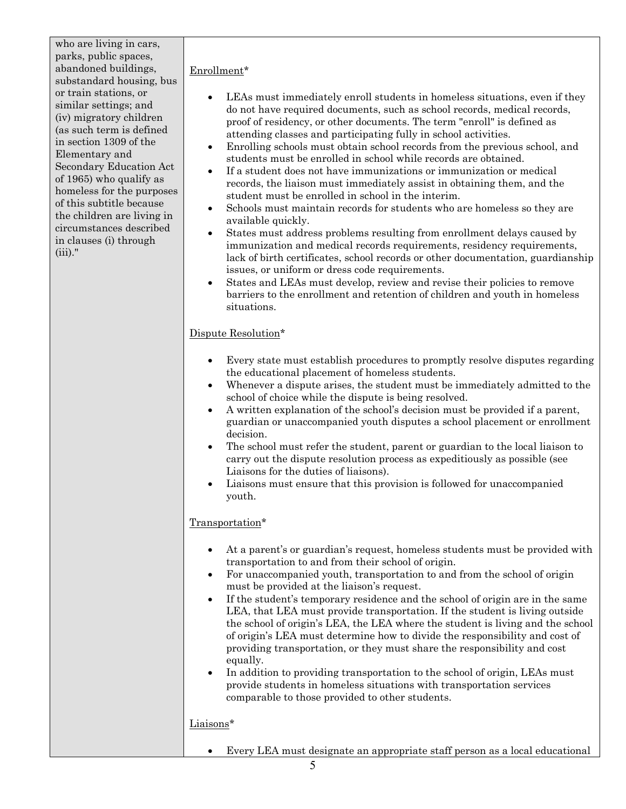who are living in cars, parks, public spaces, abandoned buildings, substandard housing, bus or train stations, or similar settings; and (iv) migratory children (as such term is defined in section 1309 of the Elementary and Secondary Education Act of 1965) who qualify as homeless for the purposes of this subtitle because the children are living in circumstances described in clauses (i) through (iii)."

#### Enrollment\*

- LEAs must immediately enroll students in homeless situations, even if they do not have required documents, such as school records, medical records, proof of residency, or other documents. The term "enroll" is defined as attending classes and participating fully in school activities.
- Enrolling schools must obtain school records from the previous school, and students must be enrolled in school while records are obtained.
- If a student does not have immunizations or immunization or medical records, the liaison must immediately assist in obtaining them, and the student must be enrolled in school in the interim.
- Schools must maintain records for students who are homeless so they are available quickly.
- States must address problems resulting from enrollment delays caused by immunization and medical records requirements, residency requirements, lack of birth certificates, school records or other documentation, guardianship issues, or uniform or dress code requirements.
- States and LEAs must develop, review and revise their policies to remove barriers to the enrollment and retention of children and youth in homeless situations.

## Dispute Resolution\*

- Every state must establish procedures to promptly resolve disputes regarding the educational placement of homeless students.
- Whenever a dispute arises, the student must be immediately admitted to the school of choice while the dispute is being resolved.
- A written explanation of the school's decision must be provided if a parent, guardian or unaccompanied youth disputes a school placement or enrollment decision.
- The school must refer the student, parent or guardian to the local liaison to carry out the dispute resolution process as expeditiously as possible (see Liaisons for the duties of liaisons).
- Liaisons must ensure that this provision is followed for unaccompanied youth.

## Transportation\*

- At a parent's or guardian's request, homeless students must be provided with transportation to and from their school of origin.
- For unaccompanied youth, transportation to and from the school of origin must be provided at the liaison's request.
- If the student's temporary residence and the school of origin are in the same LEA, that LEA must provide transportation. If the student is living outside the school of origin's LEA, the LEA where the student is living and the school of origin's LEA must determine how to divide the responsibility and cost of providing transportation, or they must share the responsibility and cost equally.
- In addition to providing transportation to the school of origin, LEAs must provide students in homeless situations with transportation services comparable to those provided to other students.

#### Liaisons\*

• Every LEA must designate an appropriate staff person as a local educational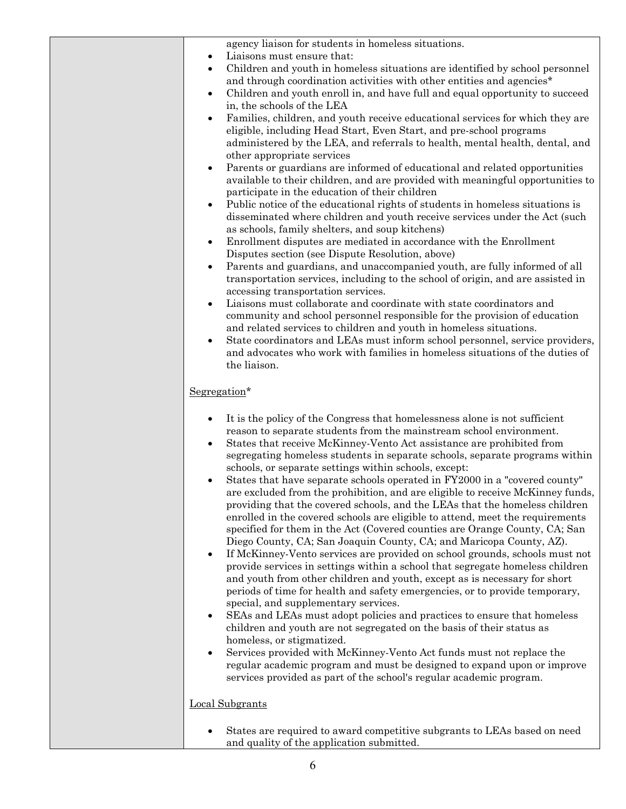| agency liaison for students in homeless situations.<br>Liaisons must ensure that:<br>٠                                                                                                                                                                                                                                                                                                                                                                                                                                                                  |
|---------------------------------------------------------------------------------------------------------------------------------------------------------------------------------------------------------------------------------------------------------------------------------------------------------------------------------------------------------------------------------------------------------------------------------------------------------------------------------------------------------------------------------------------------------|
| Children and youth in homeless situations are identified by school personnel<br>$\bullet$                                                                                                                                                                                                                                                                                                                                                                                                                                                               |
| and through coordination activities with other entities and agencies*                                                                                                                                                                                                                                                                                                                                                                                                                                                                                   |
| Children and youth enroll in, and have full and equal opportunity to succeed<br>٠<br>in, the schools of the LEA                                                                                                                                                                                                                                                                                                                                                                                                                                         |
| Families, children, and youth receive educational services for which they are<br>$\bullet$<br>eligible, including Head Start, Even Start, and pre-school programs                                                                                                                                                                                                                                                                                                                                                                                       |
| administered by the LEA, and referrals to health, mental health, dental, and<br>other appropriate services                                                                                                                                                                                                                                                                                                                                                                                                                                              |
| Parents or guardians are informed of educational and related opportunities<br>$\bullet$<br>available to their children, and are provided with meaningful opportunities to<br>participate in the education of their children<br>Public notice of the educational rights of students in homeless situations is<br>$\bullet$                                                                                                                                                                                                                               |
| disseminated where children and youth receive services under the Act (such                                                                                                                                                                                                                                                                                                                                                                                                                                                                              |
| as schools, family shelters, and soup kitchens)<br>Enrollment disputes are mediated in accordance with the Enrollment<br>$\bullet$                                                                                                                                                                                                                                                                                                                                                                                                                      |
| Disputes section (see Dispute Resolution, above)                                                                                                                                                                                                                                                                                                                                                                                                                                                                                                        |
| Parents and guardians, and unaccompanied youth, are fully informed of all<br>$\bullet$<br>transportation services, including to the school of origin, and are assisted in                                                                                                                                                                                                                                                                                                                                                                               |
| accessing transportation services.<br>Liaisons must collaborate and coordinate with state coordinators and<br>$\bullet$                                                                                                                                                                                                                                                                                                                                                                                                                                 |
| community and school personnel responsible for the provision of education                                                                                                                                                                                                                                                                                                                                                                                                                                                                               |
| and related services to children and youth in homeless situations.                                                                                                                                                                                                                                                                                                                                                                                                                                                                                      |
| State coordinators and LEAs must inform school personnel, service providers,<br>$\bullet$<br>and advocates who work with families in homeless situations of the duties of<br>the liaison.                                                                                                                                                                                                                                                                                                                                                               |
| Segregation*                                                                                                                                                                                                                                                                                                                                                                                                                                                                                                                                            |
| It is the policy of the Congress that homelessness alone is not sufficient<br>$\bullet$<br>reason to separate students from the mainstream school environment.<br>States that receive McKinney-Vento Act assistance are prohibited from<br>$\bullet$<br>segregating homeless students in separate schools, separate programs within                                                                                                                                                                                                                     |
| schools, or separate settings within schools, except:<br>States that have separate schools operated in FY2000 in a "covered county"<br>$\bullet$<br>are excluded from the prohibition, and are eligible to receive McKinney funds,<br>providing that the covered schools, and the LEAs that the homeless children<br>enrolled in the covered schools are eligible to attend, meet the requirements<br>specified for them in the Act (Covered counties are Orange County, CA; San<br>Diego County, CA; San Joaquin County, CA; and Maricopa County, AZ). |
| If McKinney-Vento services are provided on school grounds, schools must not<br>$\bullet$<br>provide services in settings within a school that segregate homeless children<br>and youth from other children and youth, except as is necessary for short<br>periods of time for health and safety emergencies, or to provide temporary,<br>special, and supplementary services.                                                                                                                                                                           |
| SEAs and LEAs must adopt policies and practices to ensure that homeless<br>$\bullet$<br>children and youth are not segregated on the basis of their status as<br>homeless, or stigmatized.                                                                                                                                                                                                                                                                                                                                                              |
| Services provided with McKinney-Vento Act funds must not replace the<br>$\bullet$<br>regular academic program and must be designed to expand upon or improve<br>services provided as part of the school's regular academic program.                                                                                                                                                                                                                                                                                                                     |
| <b>Local Subgrants</b>                                                                                                                                                                                                                                                                                                                                                                                                                                                                                                                                  |
| States are required to award competitive subgrants to LEAs based on need<br>$\bullet$<br>and quality of the application submitted.                                                                                                                                                                                                                                                                                                                                                                                                                      |
|                                                                                                                                                                                                                                                                                                                                                                                                                                                                                                                                                         |